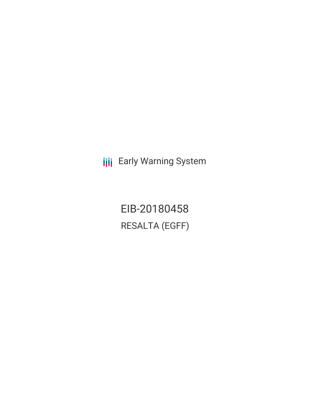**III** Early Warning System

EIB-20180458 RESALTA (EGFF)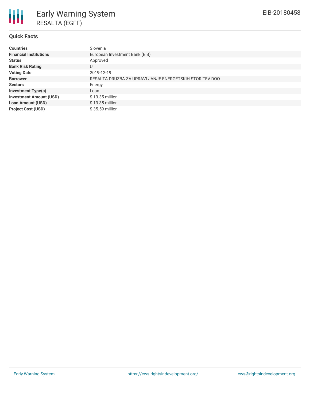

## **Quick Facts**

| <b>Countries</b>               | Slovenia                                               |
|--------------------------------|--------------------------------------------------------|
| <b>Financial Institutions</b>  | European Investment Bank (EIB)                         |
| <b>Status</b>                  | Approved                                               |
| <b>Bank Risk Rating</b>        | U                                                      |
| <b>Voting Date</b>             | 2019-12-19                                             |
| <b>Borrower</b>                | RESALTA DRUZBA ZA UPRAVLJANJE ENERGETSKIH STORITEV DOO |
| <b>Sectors</b>                 | Energy                                                 |
| <b>Investment Type(s)</b>      | Loan                                                   |
| <b>Investment Amount (USD)</b> | $$13.35$ million                                       |
| <b>Loan Amount (USD)</b>       | \$13.35 million                                        |
| <b>Project Cost (USD)</b>      | \$35.59 million                                        |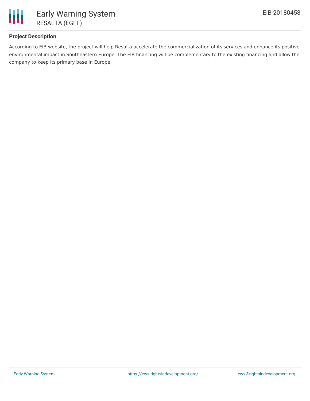

# **Project Description**

According to EIB website, the project will help Resalta accelerate the commercialization of its services and enhance its positive environmental impact in Southeastern Europe. The EIB financing will be complementary to the existing financing and allow the company to keep its primary base in Europe.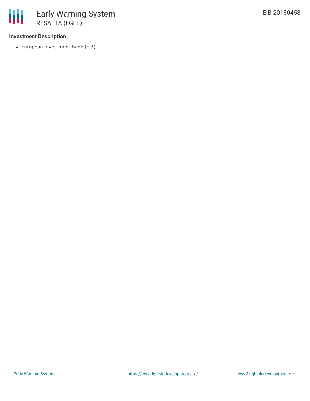## **Investment Description**

European Investment Bank (EIB)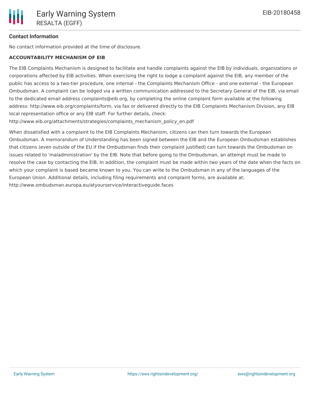## **Contact Information**

No contact information provided at the time of disclosure.

#### **ACCOUNTABILITY MECHANISM OF EIB**

The EIB Complaints Mechanism is designed to facilitate and handle complaints against the EIB by individuals, organizations or corporations affected by EIB activities. When exercising the right to lodge a complaint against the EIB, any member of the public has access to a two-tier procedure, one internal - the Complaints Mechanism Office - and one external - the European Ombudsman. A complaint can be lodged via a written communication addressed to the Secretary General of the EIB, via email to the dedicated email address complaints@eib.org, by completing the online complaint form available at the following address: http://www.eib.org/complaints/form, via fax or delivered directly to the EIB Complaints Mechanism Division, any EIB local representation office or any EIB staff. For further details, check:

http://www.eib.org/attachments/strategies/complaints\_mechanism\_policy\_en.pdf

When dissatisfied with a complaint to the EIB Complaints Mechanism, citizens can then turn towards the European Ombudsman. A memorandum of Understanding has been signed between the EIB and the European Ombudsman establishes that citizens (even outside of the EU if the Ombudsman finds their complaint justified) can turn towards the Ombudsman on issues related to 'maladministration' by the EIB. Note that before going to the Ombudsman, an attempt must be made to resolve the case by contacting the EIB. In addition, the complaint must be made within two years of the date when the facts on which your complaint is based became known to you. You can write to the Ombudsman in any of the languages of the European Union. Additional details, including filing requirements and complaint forms, are available at: http://www.ombudsman.europa.eu/atyourservice/interactiveguide.faces